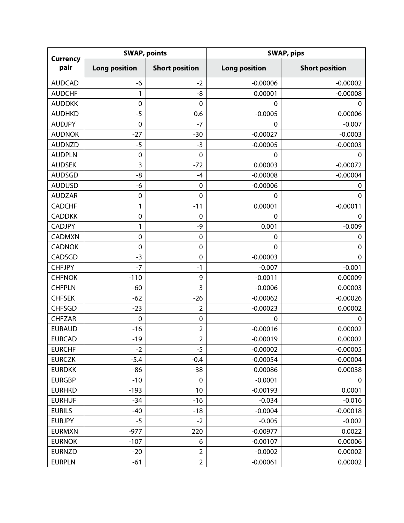| <b>Currency</b><br>pair | <b>SWAP, points</b>  |                       | <b>SWAP, pips</b>    |                       |  |
|-------------------------|----------------------|-----------------------|----------------------|-----------------------|--|
|                         | <b>Long position</b> | <b>Short position</b> | <b>Long position</b> | <b>Short position</b> |  |
| <b>AUDCAD</b>           | -6                   | $-2$                  | $-0.00006$           | $-0.00002$            |  |
| <b>AUDCHF</b>           | 1                    | -8                    | 0.00001              | $-0.00008$            |  |
| <b>AUDDKK</b>           | $\mathbf 0$          | 0                     | 0                    | 0                     |  |
| <b>AUDHKD</b>           | $-5$                 | 0.6                   | $-0.0005$            | 0.00006               |  |
| <b>AUDJPY</b>           | $\mathbf 0$          | $-7$                  | $\mathbf 0$          | $-0.007$              |  |
| <b>AUDNOK</b>           | $-27$                | $-30$                 | $-0.00027$           | $-0.0003$             |  |
| <b>AUDNZD</b>           | $-5$                 | $-3$                  | $-0.00005$           | $-0.00003$            |  |
| <b>AUDPLN</b>           | $\mathbf 0$          | $\mathbf 0$           | $\mathbf 0$          | $\mathbf 0$           |  |
| <b>AUDSEK</b>           | 3                    | $-72$                 | 0.00003              | $-0.00072$            |  |
| <b>AUDSGD</b>           | -8                   | $-4$                  | $-0.00008$           | $-0.00004$            |  |
| <b>AUDUSD</b>           | -6                   | $\mathbf 0$           | $-0.00006$           | 0                     |  |
| <b>AUDZAR</b>           | $\mathbf 0$          | $\mathbf 0$           | $\mathbf 0$          | $\mathbf 0$           |  |
| <b>CADCHF</b>           | 1                    | $-11$                 | 0.00001              | $-0.00011$            |  |
| <b>CADDKK</b>           | $\mathbf 0$          | $\mathbf 0$           | $\mathbf 0$          | $\mathbf 0$           |  |
| <b>CADJPY</b>           | 1                    | -9                    | 0.001                | $-0.009$              |  |
| CADMXN                  | $\mathbf 0$          | $\mathbf 0$           | $\mathbf 0$          | $\mathbf 0$           |  |
| <b>CADNOK</b>           | $\mathbf 0$          | $\mathbf 0$           | $\mathbf 0$          | $\mathbf 0$           |  |
| CADSGD                  | $-3$                 | $\mathbf 0$           | $-0.00003$           | $\mathbf 0$           |  |
| <b>CHFJPY</b>           | $-7$                 | $-1$                  | $-0.007$             | $-0.001$              |  |
| <b>CHFNOK</b>           | $-110$               | 9                     | $-0.0011$            | 0.00009               |  |
| <b>CHFPLN</b>           | $-60$                | 3                     | $-0.0006$            | 0.00003               |  |
| <b>CHFSEK</b>           | $-62$                | $-26$                 | $-0.00062$           | $-0.00026$            |  |
| <b>CHFSGD</b>           | $-23$                | $\overline{2}$        | $-0.00023$           | 0.00002               |  |
| <b>CHFZAR</b>           | $\mathbf 0$          | $\mathbf 0$           | $\mathbf 0$          | $\mathbf 0$           |  |
| <b>EURAUD</b>           | $-16$                | $\overline{2}$        | $-0.00016$           | 0.00002               |  |
| <b>EURCAD</b>           | $-19$                | $\overline{2}$        | $-0.00019$           | 0.00002               |  |
| <b>EURCHF</b>           | $-2$                 | $-5$                  | $-0.00002$           | $-0.00005$            |  |
| <b>EURCZK</b>           | $-5.4$               | $-0.4$                | $-0.00054$           | $-0.00004$            |  |
| <b>EURDKK</b>           | $-86$                | $-38$                 | $-0.00086$           | $-0.00038$            |  |
| <b>EURGBP</b>           | $-10$                | 0                     | $-0.0001$            | 0                     |  |
| <b>EURHKD</b>           | $-193$               | 10                    | $-0.00193$           | 0.0001                |  |
| <b>EURHUF</b>           | $-34$                | $-16$                 | $-0.034$             | $-0.016$              |  |
| <b>EURILS</b>           | $-40$                | $-18$                 | $-0.0004$            | $-0.00018$            |  |
| <b>EURJPY</b>           | $-5$                 | $-2$                  | $-0.005$             | $-0.002$              |  |
| <b>EURMXN</b>           | $-977$               | 220                   | $-0.00977$           | 0.0022                |  |
| <b>EURNOK</b>           | $-107$               | 6                     | $-0.00107$           | 0.00006               |  |
| <b>EURNZD</b>           | $-20$                | $\overline{2}$        | $-0.0002$            | 0.00002               |  |
| <b>EURPLN</b>           | $-61$                | $\overline{2}$        | $-0.00061$           | 0.00002               |  |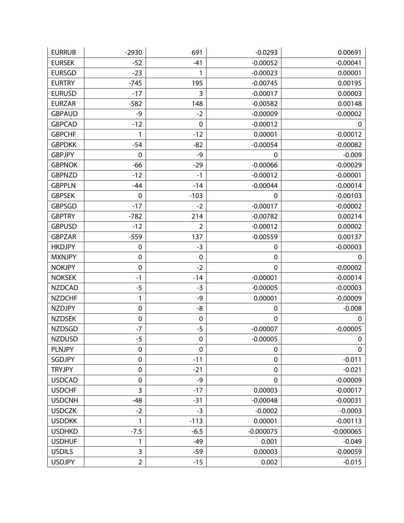| <b>EURRUB</b> | $-2930$          | 691            | $-0.0293$      | 0.00691     |
|---------------|------------------|----------------|----------------|-------------|
| <b>EURSEK</b> | $-52$            | $-41$          | $-0.00052$     | $-0.00041$  |
| <b>EURSGD</b> | $-23$            | 1              | $-0.00023$     | 0.00001     |
| <b>EURTRY</b> | $-745$           | 195            | $-0.00745$     | 0.00195     |
| <b>EURUSD</b> | $-17$            | 3              | $-0.00017$     | 0.00003     |
| <b>EURZAR</b> | $-582$           | 148            | $-0.00582$     | 0.00148     |
| <b>GBPAUD</b> | -9               | $-2$           | $-0.00009$     | $-0.00002$  |
| <b>GBPCAD</b> | $-12$            | $\mathbf 0$    | $-0.00012$     | 0           |
| <b>GBPCHF</b> | 1                | $-12$          | 0.00001        | $-0.00012$  |
| <b>GBPDKK</b> | $-54$            | $-82$          | $-0.00054$     | $-0.00082$  |
| <b>GBPJPY</b> | $\mathbf 0$      | $-9$           | $\mathbf 0$    | $-0.009$    |
| <b>GBPNOK</b> | $-66$            | $-29$          | $-0.00066$     | $-0.00029$  |
| <b>GBPNZD</b> | $-12$            | $-1$           | $-0.00012$     | $-0.00001$  |
| <b>GBPPLN</b> | $-44$            | $-14$          | $-0.00044$     | $-0.00014$  |
| <b>GBPSEK</b> | $\mathbf 0$      | $-103$         | $\mathbf 0$    | $-0.00103$  |
| <b>GBPSGD</b> | $-17$            | $-2$           | $-0.00017$     | $-0.00002$  |
| <b>GBPTRY</b> | $-782$           | 214            | $-0.00782$     | 0.00214     |
| <b>GBPUSD</b> | $-12$            | $\overline{2}$ | $-0.00012$     | 0.00002     |
| <b>GBPZAR</b> | $-559$           | 137            | $-0.00559$     | 0.00137     |
| <b>HKDJPY</b> | $\boldsymbol{0}$ | $-3$           | $\mathbf 0$    | $-0.00003$  |
| <b>MXNJPY</b> | $\mathbf 0$      | $\mathbf 0$    | $\mathbf 0$    | 0           |
| <b>NOKJPY</b> | $\mathbf 0$      | $-2$           | $\mathbf 0$    | $-0.00002$  |
| <b>NOKSEK</b> | $-1$             | $-14$          | $-0.00001$     | $-0.00014$  |
| <b>NZDCAD</b> | $-5$             | $-3$           | $-0.00005$     | $-0.00003$  |
| <b>NZDCHF</b> | 1                | -9             | 0.00001        | $-0.00009$  |
| <b>NZDJPY</b> | $\pmb{0}$        | -8             | 0              | $-0.008$    |
| <b>NZDSEK</b> | $\boldsymbol{0}$ | $\mathbf 0$    | $\mathbf 0$    | $\mathbf 0$ |
| <b>NZDSGD</b> | $-7$             | $-5$           | $-0.00007$     | $-0.00005$  |
| <b>NZDUSD</b> | $-5$             | $\pmb{0}$      | $-0.00005$     | 0           |
| <b>PLNJPY</b> | $\boldsymbol{0}$ | $\pmb{0}$      | $\mathbf 0$    | $\mathbf 0$ |
| SGDJPY        | $\pmb{0}$        | $-11$          | $\mathbf 0$    | $-0.011$    |
| <b>TRYJPY</b> | $\pmb{0}$        | $-21$          | $\mathbf 0$    | $-0.021$    |
| <b>USDCAD</b> | $\pmb{0}$        | -9             | $\overline{0}$ | $-0.00009$  |
| <b>USDCHF</b> | 3                | $-17$          | 0.00003        | $-0.00017$  |
| <b>USDCNH</b> | $-48$            | $-31$          | $-0.00048$     | $-0.00031$  |
| <b>USDCZK</b> | $-2$             | $-3$           | $-0.0002$      | $-0.0003$   |
| <b>USDDKK</b> | 1                | $-113$         | 0.00001        | $-0.00113$  |
| <b>USDHKD</b> | $-7.5$           | $-6.5$         | $-0.000075$    | $-0.000065$ |
| <b>USDHUF</b> | 1                | $-49$          | 0.001          | $-0.049$    |
| <b>USDILS</b> | 3                | $-59$          | 0.00003        | $-0.00059$  |
| <b>USDJPY</b> | $\overline{2}$   | $-15$          | 0.002          | $-0.015$    |